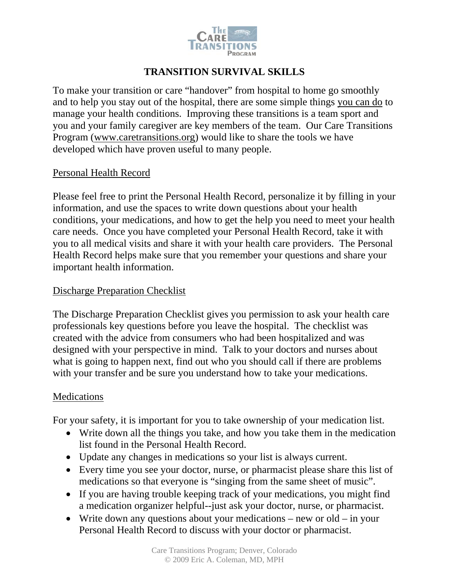

# **TRANSITION SURVIVAL SKILLS**

To make your transition or care "handover" from hospital to home go smoothly and to help you stay out of the hospital, there are some simple things you can do to manage your health conditions. Improving these transitions is a team sport and you and your family caregiver are key members of the team. Our Care Transitions Program [\(www.caretransitions.org](http://www.caretransitions.org/)) would like to share the tools we have developed which have proven useful to many people.

### Personal Health Record

Please feel free to print the Personal Health Record, personalize it by filling in your information, and use the spaces to write down questions about your health conditions, your medications, and how to get the help you need to meet your health care needs. Once you have completed your Personal Health Record, take it with you to all medical visits and share it with your health care providers. The Personal Health Record helps make sure that you remember your questions and share your important health information.

### Discharge Preparation Checklist

The Discharge Preparation Checklist gives you permission to ask your health care professionals key questions before you leave the hospital. The checklist was created with the advice from consumers who had been hospitalized and was designed with your perspective in mind. Talk to your doctors and nurses about what is going to happen next, find out who you should call if there are problems with your transfer and be sure you understand how to take your medications.

### **Medications**

For your safety, it is important for you to take ownership of your medication list.

- Write down all the things you take, and how you take them in the medication list found in the Personal Health Record.
- Update any changes in medications so your list is always current.
- Every time you see your doctor, nurse, or pharmacist please share this list of medications so that everyone is "singing from the same sheet of music".
- If you are having trouble keeping track of your medications, you might find a medication organizer helpful--just ask your doctor, nurse, or pharmacist.
- Write down any questions about your medications new or old in your Personal Health Record to discuss with your doctor or pharmacist.